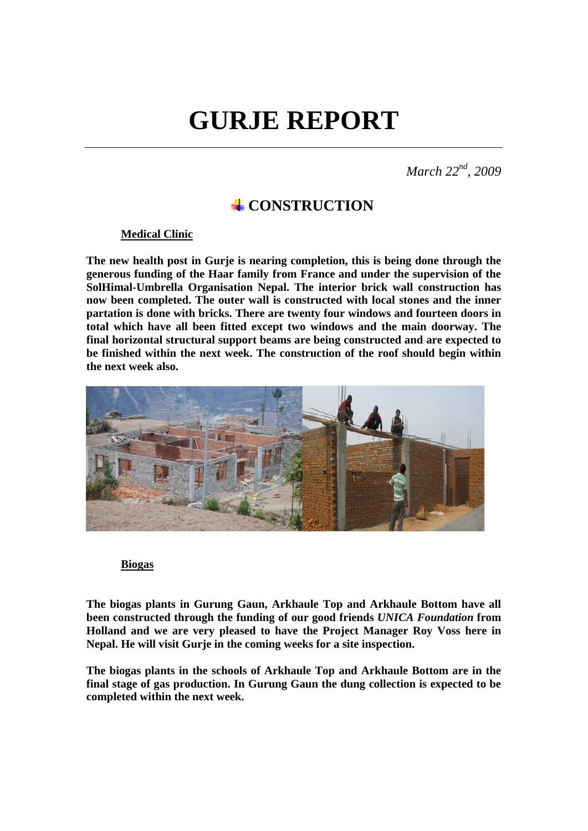# **GURJE REPORT**

*March 22nd, 2009* 

## **CONSTRUCTION**

#### **Medical Clinic**

**The new health post in Gurje is nearing completion, this is being done through the generous funding of the Haar family from France and under the supervision of the SolHimal-Umbrella Organisation Nepal. The interior brick wall construction has now been completed. The outer wall is constructed with local stones and the inner partation is done with bricks. There are twenty four windows and fourteen doors in total which have all been fitted except two windows and the main doorway. The final horizontal structural support beams are being constructed and are expected to be finished within the next week. The construction of the roof should begin within the next week also.** 



#### **Biogas**

**The biogas plants in Gurung Gaun, Arkhaule Top and Arkhaule Bottom have all been constructed through the funding of our good friends** *UNICA Foundation* **from Holland and we are very pleased to have the Project Manager Roy Voss here in Nepal. He will visit Gurje in the coming weeks for a site inspection.**

**The biogas plants in the schools of Arkhaule Top and Arkhaule Bottom are in the final stage of gas production. In Gurung Gaun the dung collection is expected to be completed within the next week.**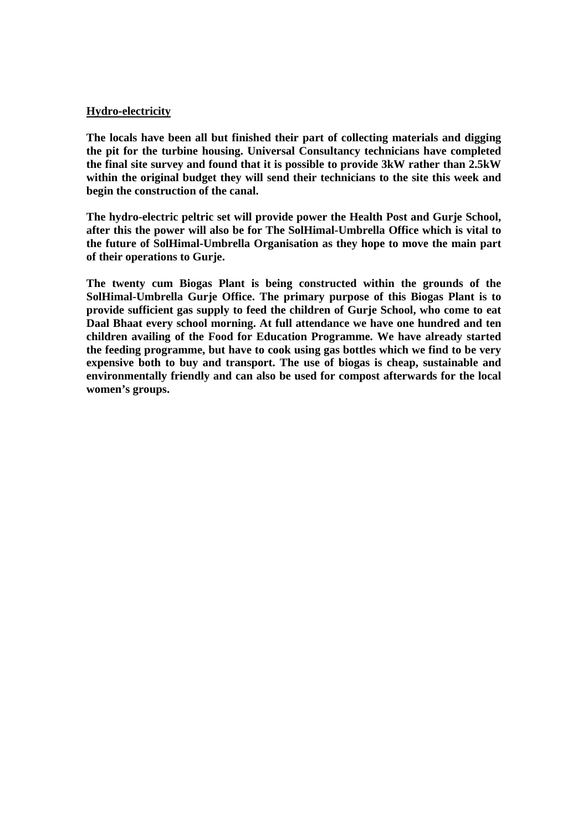#### **Hydro-electricity**

**The locals have been all but finished their part of collecting materials and digging the pit for the turbine housing. Universal Consultancy technicians have completed the final site survey and found that it is possible to provide 3kW rather than 2.5kW within the original budget they will send their technicians to the site this week and begin the construction of the canal.** 

**The hydro-electric peltric set will provide power the Health Post and Gurje School, after this the power will also be for The SolHimal-Umbrella Office which is vital to the future of SolHimal-Umbrella Organisation as they hope to move the main part of their operations to Gurje.** 

**The twenty cum Biogas Plant is being constructed within the grounds of the SolHimal-Umbrella Gurje Office. The primary purpose of this Biogas Plant is to provide sufficient gas supply to feed the children of Gurje School, who come to eat Daal Bhaat every school morning. At full attendance we have one hundred and ten children availing of the Food for Education Programme. We have already started the feeding programme, but have to cook using gas bottles which we find to be very expensive both to buy and transport. The use of biogas is cheap, sustainable and environmentally friendly and can also be used for compost afterwards for the local women's groups.**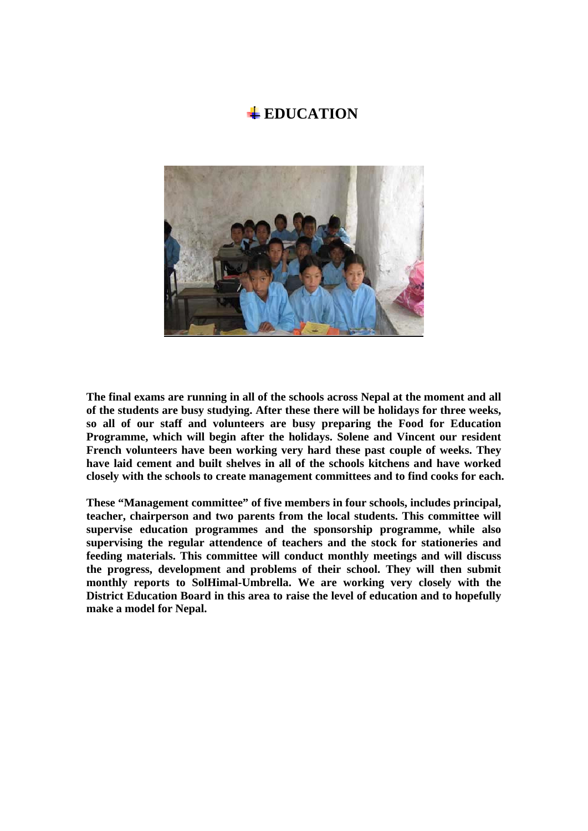### **EDUCATION**



**The final exams are running in all of the schools across Nepal at the moment and all of the students are busy studying. After these there will be holidays for three weeks, so all of our staff and volunteers are busy preparing the Food for Education Programme, which will begin after the holidays. Solene and Vincent our resident French volunteers have been working very hard these past couple of weeks. They have laid cement and built shelves in all of the schools kitchens and have worked closely with the schools to create management committees and to find cooks for each.** 

**These "Management committee" of five members in four schools, includes principal, teacher, chairperson and two parents from the local students. This committee will supervise education programmes and the sponsorship programme, while also supervising the regular attendence of teachers and the stock for stationeries and feeding materials. This committee will conduct monthly meetings and will discuss the progress, development and problems of their school. They will then submit monthly reports to SolHimal-Umbrella. We are working very closely with the District Education Board in this area to raise the level of education and to hopefully make a model for Nepal.**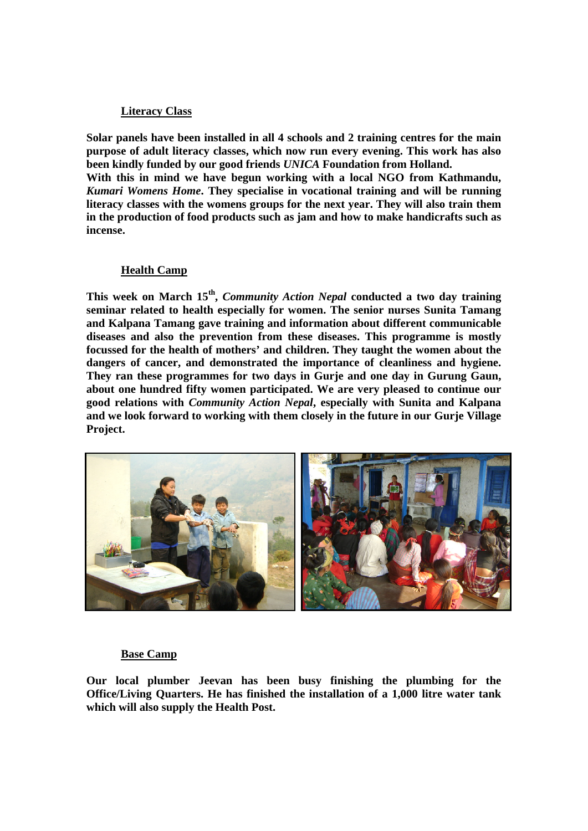#### **Literacy Class**

**Solar panels have been installed in all 4 schools and 2 training centres for the main purpose of adult literacy classes, which now run every evening. This work has also been kindly funded by our good friends** *UNICA* **Foundation from Holland.** 

**With this in mind we have begun working with a local NGO from Kathmandu,**  *Kumari Womens Home***. They specialise in vocational training and will be running literacy classes with the womens groups for the next year. They will also train them in the production of food products such as jam and how to make handicrafts such as incense.** 

#### **Health Camp**

**This week on March 15th,** *Community Action Nepal* **conducted a two day training seminar related to health especially for women. The senior nurses Sunita Tamang and Kalpana Tamang gave training and information about different communicable diseases and also the prevention from these diseases. This programme is mostly focussed for the health of mothers' and children. They taught the women about the dangers of cancer, and demonstrated the importance of cleanliness and hygiene. They ran these programmes for two days in Gurje and one day in Gurung Gaun, about one hundred fifty women participated. We are very pleased to continue our good relations with** *Community Action Nepal***, especially with Sunita and Kalpana and we look forward to working with them closely in the future in our Gurje Village Project.** 



#### **Base Camp**

**Our local plumber Jeevan has been busy finishing the plumbing for the Office/Living Quarters. He has finished the installation of a 1,000 litre water tank which will also supply the Health Post.**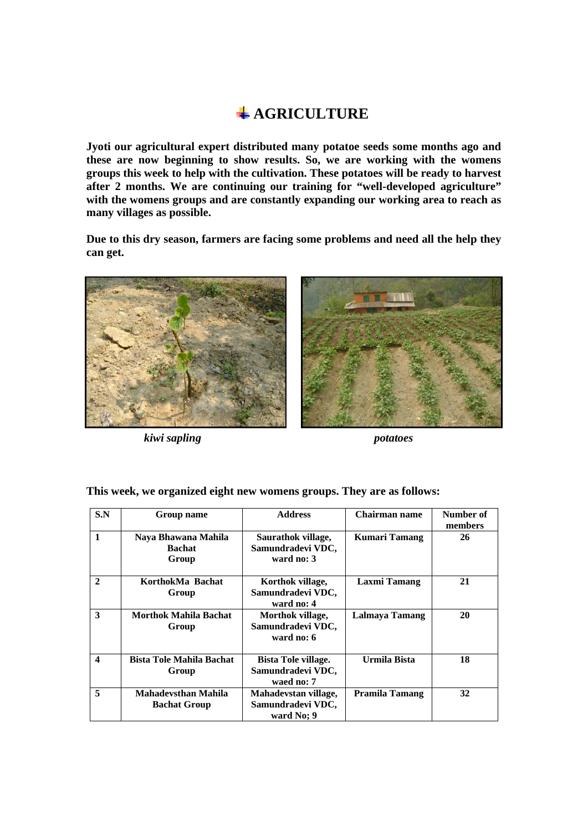## **AGRICULTURE**

**Jyoti our agricultural expert distributed many potatoe seeds some months ago and these are now beginning to show results. So, we are working with the womens groups this week to help with the cultivation. These potatoes will be ready to harvest after 2 months. We are continuing our training for "well-developed agriculture" with the womens groups and are constantly expanding our working area to reach as many villages as possible.** 

**Due to this dry season, farmers are facing some problems and need all the help they can get.** 



*kiwi sapling potatoes* 



**This week, we organized eight new womens groups. They are as follows:** 

| S.N              | Group name                                        | <b>Address</b>                                                | Chairman name        | Number of<br>members |
|------------------|---------------------------------------------------|---------------------------------------------------------------|----------------------|----------------------|
| $\mathbf{1}$     | Naya Bhawana Mahila<br><b>Bachat</b><br>Group     | Saurathok village,<br>Samundradevi VDC,<br>ward no: 3         | <b>Kumari Tamang</b> | 26                   |
| $\mathbf{2}$     | KorthokMa Bachat<br>Group                         | Korthok village,<br>Samundradevi VDC,<br>ward no: 4           | <b>Laxmi Tamang</b>  | 21                   |
| 3                | Morthok Mahila Bachat<br>Group                    | Morthok village,<br>Samundradevi VDC,<br>ward no: 6           | Lalmaya Tamang       | 20                   |
| $\boldsymbol{4}$ | <b>Bista Tole Mahila Bachat</b><br>Group          | <b>Bista Tole village.</b><br>Samundradevi VDC,<br>waed no: 7 | Urmila Bista         | 18                   |
| 5                | <b>Mahadevsthan Mahila</b><br><b>Bachat Group</b> | Mahadevstan village,<br>Samundradevi VDC,<br>ward No: 9       | Pramila Tamang       | 32                   |